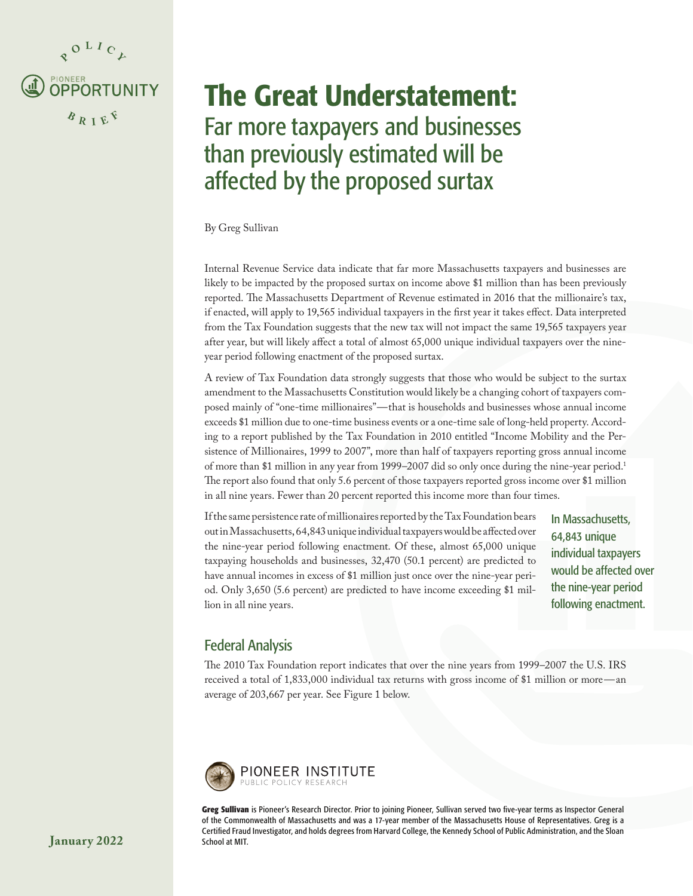<span id="page-0-0"></span>

# The Great Understatement: Far more taxpayers and businesses than previously estimated will be affected by the proposed surtax

#### By Greg Sullivan

Internal Revenue Service data indicate that far more Massachusetts taxpayers and businesses are likely to be impacted by the proposed surtax on income above \$1 million than has been previously reported. The Massachusetts Department of Revenue estimated in 2016 that the millionaire's tax, if enacted, will apply to 19,565 individual taxpayers in the first year it takes effect. Data interpreted from the Tax Foundation suggests that the new tax will not impact the same 19,565 taxpayers year after year, but will likely affect a total of almost 65,000 unique individual taxpayers over the nineyear period following enactment of the proposed surtax.

A review of Tax Foundation data strongly suggests that those who would be subject to the surtax amendment to the Massachusetts Constitution would likely be a changing cohort of taxpayers composed mainly of "one-time millionaires"—that is households and businesses whose annual income exceeds \$1 million due to one-time business events or a one-time sale of long-held property. According to a report published by the Tax Foundation in 2010 entitled ["Income Mobility and the Per](https://taxfoundation.org/income-mobility-and-persistence-millionaires-1999-2007/)[sistence of Millionaires, 1999 to 2007](https://taxfoundation.org/income-mobility-and-persistence-millionaires-1999-2007/)", more than half of taxpayers reporting gross annual income of more than \$1 million in any year from 1999–2007 did so only once during the nine-year period[.1](#page-3-0) The report also found that only 5.6 percent of those taxpayers reported gross income over \$1 million in all nine years. Fewer than 20 percent reported this income more than four times.

If the same persistence rate of millionaires reported by the Tax Foundation bears out in Massachusetts, 64,843 unique individual taxpayers would be affected over the nine-year period following enactment. Of these, almost 65,000 unique taxpaying households and businesses, 32,470 (50.1 percent) are predicted to have annual incomes in excess of \$1 million just once over the nine-year period. Only 3,650 (5.6 percent) are predicted to have income exceeding \$1 million in all nine years.

In Massachusetts, 64,843 unique individual taxpayers would be affected over the nine-year period following enactment.

# Federal Analysis

The 2010 Tax Foundation report indicates that over the nine years from 1999–2007 the U.S. IRS received a total of 1,833,000 individual tax returns with gross income of \$1 million or more—an average of 203,667 per year. See Figure 1 below.



**Greg Sullivan** is Pioneer's Research Director. Prior to joining Pioneer, Sullivan served two five-year terms as Inspector General of the Commonwealth of Massachusetts and was a 17-year member of the Massachusetts House of Representatives. Greg is a Certified Fraud Investigator, and holds degrees from Harvard College, the Kennedy School of Public Administration, and the Sloan School at MIT.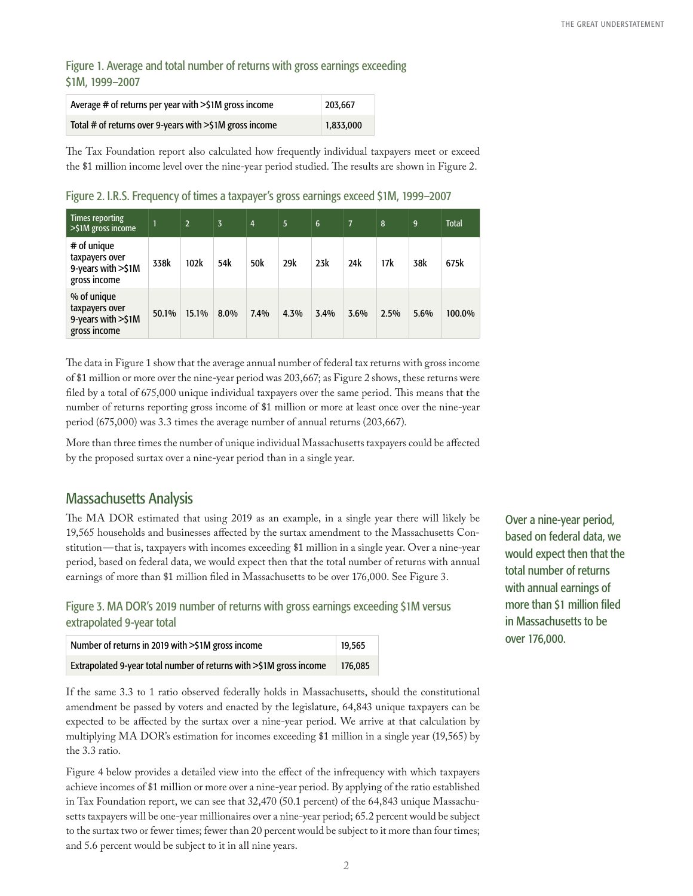Figure 1. Average and total number of returns with gross earnings exceeding \$1M, 1999–2007

| Average $#$ of returns per year with $>>1M$ gross income | 203.667   |
|----------------------------------------------------------|-----------|
| Total # of returns over 9-years with >\$1M gross income  | 1,833,000 |

The Tax Foundation report also calculated how frequently individual taxpayers meet or exceed the \$1 million income level over the nine-year period studied. The results are shown in Figure 2.

Figure 2. I.R.S. Frequency of times a taxpayer's gross earnings exceed \$1M, 1999–2007

| <b>Times reporting</b><br>$>$ \$1M gross income                     |       | $\overline{2}$ | $\overline{3}$ | $\overline{4}$ | 5 <sup>5</sup> | 6    | $\overline{7}$ | 8    | 9    | <b>Total</b> |
|---------------------------------------------------------------------|-------|----------------|----------------|----------------|----------------|------|----------------|------|------|--------------|
| # of unique<br>taxpayers over<br>9-years with >\$1M<br>gross income | 338k  | 102k           | 54k            | 50k            | 29k            | 23k  | 24k            | 17k  | 38k  | 675k         |
| % of unique<br>taxpayers over<br>9-years with >\$1M<br>gross income | 50.1% | 15.1%          | 8.0%           | 7.4%           | 4.3%           | 3.4% | 3.6%           | 2.5% | 5.6% | 100.0%       |

The data in Figure 1 show that the average annual number of federal tax returns with gross income of \$1 million or more over the nine-year period was 203,667; as Figure 2 shows, these returns were filed by a total of 675,000 unique individual taxpayers over the same period. This means that the number of returns reporting gross income of \$1 million or more at least once over the nine-year period (675,000) was 3.3 times the average number of annual returns (203,667).

More than three times the number of unique individual Massachusetts taxpayers could be affected by the proposed surtax over a nine-year period than in a single year.

## Massachusetts Analysis

The MA DOR estimated that using 2019 as an example, in a single year there will likely be 19,565 households and businesses affected by the surtax amendment to the Massachusetts Constitution—that is, taxpayers with incomes exceeding \$1 million in a single year. Over a nine-year period, based on federal data, we would expect then that the total number of returns with annual earnings of more than \$1 million filed in Massachusetts to be over 176,000. See Figure 3.

Figure 3. MA DOR's 2019 number of returns with gross earnings exceeding \$1M versus extrapolated 9-year total

| Number of returns in 2019 with >\$1M gross income<br>19,565         |         |  |  |  |  |
|---------------------------------------------------------------------|---------|--|--|--|--|
| Extrapolated 9-year total number of returns with >\$1M gross income | 176.085 |  |  |  |  |

If the same 3.3 to 1 ratio observed federally holds in Massachusetts, should the constitutional amendment be passed by voters and enacted by the legislature, 64,843 unique taxpayers can be expected to be affected by the surtax over a nine-year period. We arrive at that calculation by multiplying MA DOR's estimation for incomes exceeding \$1 million in a single year (19,565) by the 3.3 ratio.

Figure 4 below provides a detailed view into the effect of the infrequency with which taxpayers achieve incomes of \$1 million or more over a nine-year period. By applying of the ratio established in Tax Foundation report, we can see that 32,470 (50.1 percent) of the 64,843 unique Massachusetts taxpayers will be one-year millionaires over a nine-year period; 65.2 percent would be subject to the surtax two or fewer times; fewer than 20 percent would be subject to it more than four times; and 5.6 percent would be subject to it in all nine years.

Over a nine-year period, based on federal data, we would expect then that the total number of returns with annual earnings of more than \$1 million filed in Massachusetts to be over 176,000.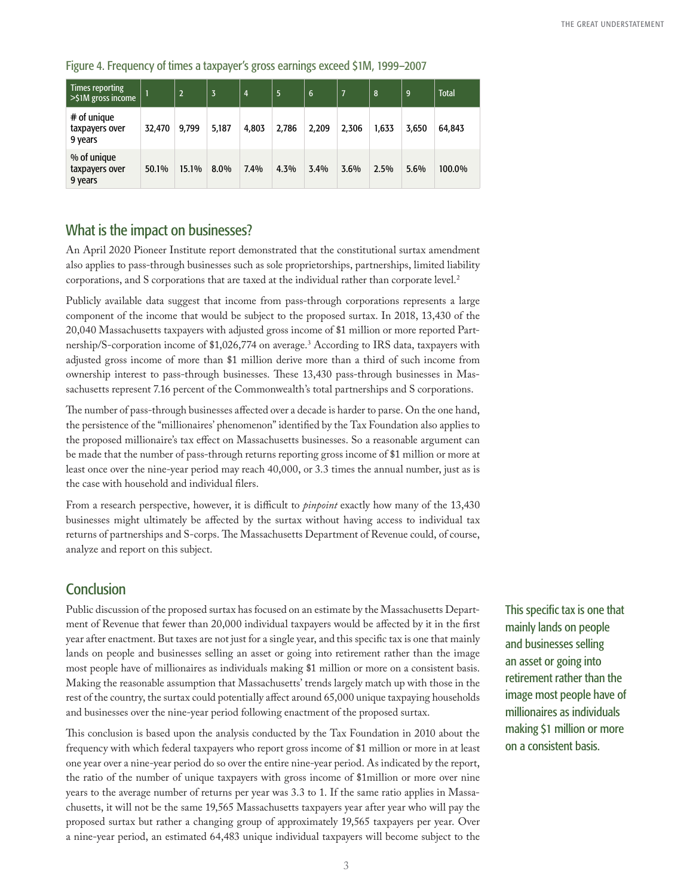| Times reporting<br>$>$ \$1M gross income |        | $\overline{2}$ | 3     | $\overline{4}$ | 5     | $6\phantom{1}6$ | 7     | 8     | 9     | <b>Total</b> |
|------------------------------------------|--------|----------------|-------|----------------|-------|-----------------|-------|-------|-------|--------------|
| # of unique<br>taxpayers over<br>9 years | 32,470 | 9,799          | 5,187 | 4,803          | 2,786 | 2,209           | 2,306 | 1,633 | 3,650 | 64,843       |
| % of unique<br>taxpayers over<br>9 years | 50.1%  | 15.1%          | 8.0%  | 7.4%           | 4.3%  | 3.4%            | 3.6%  | 2.5%  | 5.6%  | 100.0%       |

<span id="page-2-0"></span>Figure 4. Frequency of times a taxpayer's gross earnings exceed \$1M, 1999–2007

## What is the impact on businesses?

An April 2020 Pioneer Institute report demonstrated that the constitutional surtax amendment also applies to pass-through businesses such as sole proprietorships, partnerships, limited liability corporations, and S corporations that are taxed at the individual rather than corporate level.<sup>[2](#page-3-0)</sup>

Publicly available data suggest that income from pass-through corporations represents a large component of the income that would be subject to the proposed surtax. In 2018, 13,430 of the 20,040 Massachusetts taxpayers with adjusted gross income of \$1 million or more reported Partnership/S-corporation income of \$1,026,774 on average.[3](#page-3-0) According to IRS data, taxpayers with adjusted gross income of more than \$1 million derive more than a third of such income from ownership interest to pass-through businesses. These 13,430 pass-through businesses in Massachusetts represent 7.16 percent of the Commonwealth's total partnerships and S corporations.

The number of pass-through businesses affected over a decade is harder to parse. On the one hand, the persistence of the "millionaires' phenomenon" identified by the Tax Foundation also applies to the proposed millionaire's tax effect on Massachusetts businesses. So a reasonable argument can be made that the number of pass-through returns reporting gross income of \$1 million or more at least once over the nine-year period may reach 40,000, or 3.3 times the annual number, just as is the case with household and individual filers.

From a research perspective, however, it is difficult to *pinpoint* exactly how many of the 13,430 businesses might ultimately be affected by the surtax without having access to individual tax returns of partnerships and S-corps. The Massachusetts Department of Revenue could, of course, analyze and report on this subject.

# **Conclusion**

Public discussion of the proposed surtax has focused on an estimate by the Massachusetts Department of Revenue that fewer than 20,000 individual taxpayers would be affected by it in the first year after enactment. But taxes are not just for a single year, and this specific tax is one that mainly lands on people and businesses selling an asset or going into retirement rather than the image most people have of millionaires as individuals making \$1 million or more on a consistent basis. Making the reasonable assumption that Massachusetts' trends largely match up with those in the rest of the country, the surtax could potentially affect around 65,000 unique taxpaying households and businesses over the nine-year period following enactment of the proposed surtax.

This conclusion is based upon the analysis conducted by the Tax Foundation in 2010 about the frequency with which federal taxpayers who report gross income of \$1 million or more in at least one year over a nine-year period do so over the entire nine-year period. As indicated by the report, the ratio of the number of unique taxpayers with gross income of \$1million or more over nine years to the average number of returns per year was 3.3 to 1. If the same ratio applies in Massachusetts, it will not be the same 19,565 Massachusetts taxpayers year after year who will pay the proposed surtax but rather a changing group of approximately 19,565 taxpayers per year. Over a nine-year period, an estimated 64,483 unique individual taxpayers will become subject to the

This specific tax is one that mainly lands on people and businesses selling an asset or going into retirement rather than the image most people have of millionaires as individuals making \$1 million or more on a consistent basis.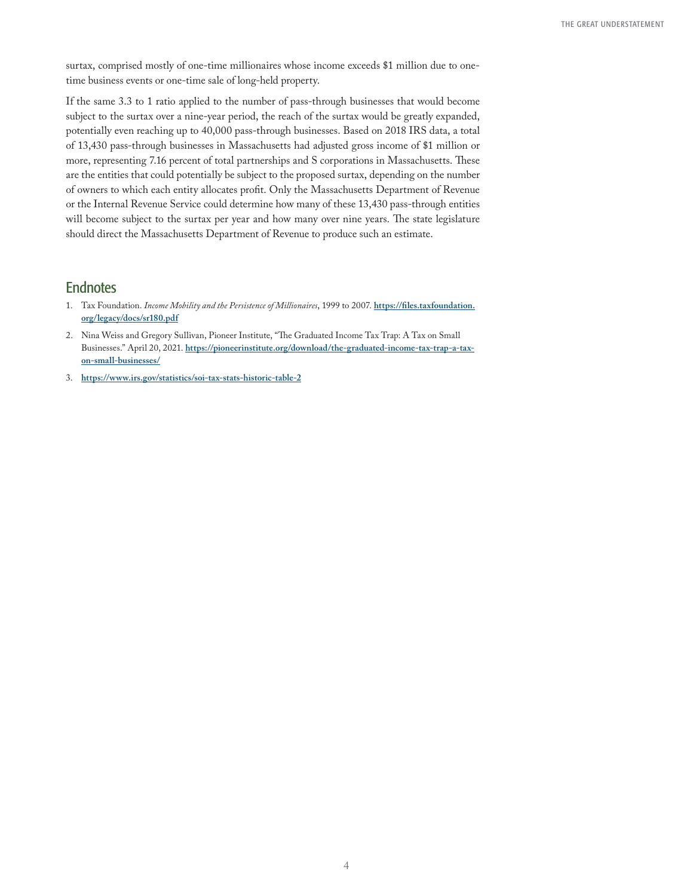<span id="page-3-0"></span>surtax, comprised mostly of one-time millionaires whose income exceeds \$1 million due to onetime business events or one-time sale of long-held property.

If the same 3.3 to 1 ratio applied to the number of pass-through businesses that would become subject to the surtax over a nine-year period, the reach of the surtax would be greatly expanded, potentially even reaching up to 40,000 pass-through businesses. Based on 2018 IRS data, a total of 13,430 pass-through businesses in Massachusetts had adjusted gross income of \$1 million or more, representing 7.16 percent of total partnerships and S corporations in Massachusetts. These are the entities that could potentially be subject to the proposed surtax, depending on the number of owners to which each entity allocates profit. Only the Massachusetts Department of Revenue or the Internal Revenue Service could determine how many of these 13,430 pass-through entities will become subject to the surtax per year and how many over nine years. The state legislature should direct the Massachusetts Department of Revenue to produce such an estimate.

#### **Endnotes**

- 1. [Ta](#page-0-0)x Foundation. *Income Mobility and the Persistence of Millionaires*, 1999 to 2007. **[https://files.taxfoundation.](https://files.taxfoundation.org/legacy/docs/sr180.pdf) [org/legacy/docs/sr180.pdf](https://files.taxfoundation.org/legacy/docs/sr180.pdf)**
- 2. [N](#page-2-0)ina Weiss and Gregory Sullivan, Pioneer Institute, "The Graduated Income Tax Trap: A Tax on Small Businesses." April 20, 2021. **[https://pioneerinstitute.org/download/the-graduated-income-tax-trap-a-tax](https://pioneerinstitute.org/download/the-graduated-income-tax-trap-a-tax-on-small-businesses/)[on-small-businesses/](https://pioneerinstitute.org/download/the-graduated-income-tax-trap-a-tax-on-small-businesses/)**
- 3. **<https://www.irs.gov/statistics/soi-tax-stats-historic-table-2>**